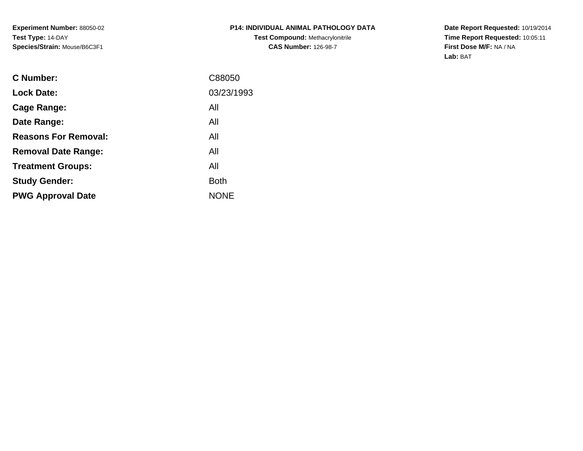**Experiment Number:** 88050-02**Test Type:** 14-DAY**Species/Strain:** Mouse/B6C3F1

**Date Report Requested:** 10/19/2014 **Time Report Requested:** 10:05:11**First Dose M/F:** NA / NA**Lab:** BAT

| C88050      |
|-------------|
| 03/23/1993  |
| All         |
| All         |
| All         |
| All         |
| All         |
| <b>Both</b> |
| <b>NONE</b> |
|             |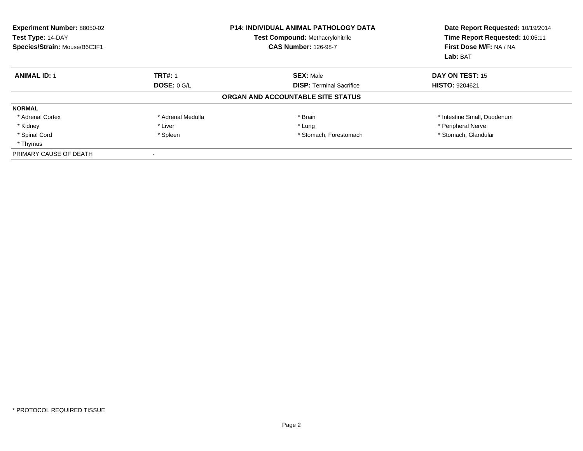| <b>Experiment Number: 88050-02</b><br>Test Type: 14-DAY<br>Species/Strain: Mouse/B6C3F1 |                   | <b>P14: INDIVIDUAL ANIMAL PATHOLOGY DATA</b><br><b>Test Compound: Methacrylonitrile</b><br><b>CAS Number: 126-98-7</b> | Date Report Requested: 10/19/2014<br>Time Report Requested: 10:05:11<br>First Dose M/F: NA / NA<br>Lab: BAT |
|-----------------------------------------------------------------------------------------|-------------------|------------------------------------------------------------------------------------------------------------------------|-------------------------------------------------------------------------------------------------------------|
| <b>ANIMAL ID: 1</b>                                                                     | <b>TRT#: 1</b>    | <b>SEX: Male</b>                                                                                                       | DAY ON TEST: 15                                                                                             |
|                                                                                         | DOSE: $0$ G/L     | <b>DISP:</b> Terminal Sacrifice                                                                                        | <b>HISTO: 9204621</b>                                                                                       |
|                                                                                         |                   | ORGAN AND ACCOUNTABLE SITE STATUS                                                                                      |                                                                                                             |
| <b>NORMAL</b>                                                                           |                   |                                                                                                                        |                                                                                                             |
| * Adrenal Cortex                                                                        | * Adrenal Medulla | * Brain                                                                                                                | * Intestine Small, Duodenum                                                                                 |
| * Kidney                                                                                | * Liver           | * Lung                                                                                                                 | * Peripheral Nerve                                                                                          |
| * Spinal Cord                                                                           | * Spleen          | * Stomach, Forestomach                                                                                                 | * Stomach, Glandular                                                                                        |
| * Thymus                                                                                |                   |                                                                                                                        |                                                                                                             |
| PRIMARY CAUSE OF DEATH                                                                  |                   |                                                                                                                        |                                                                                                             |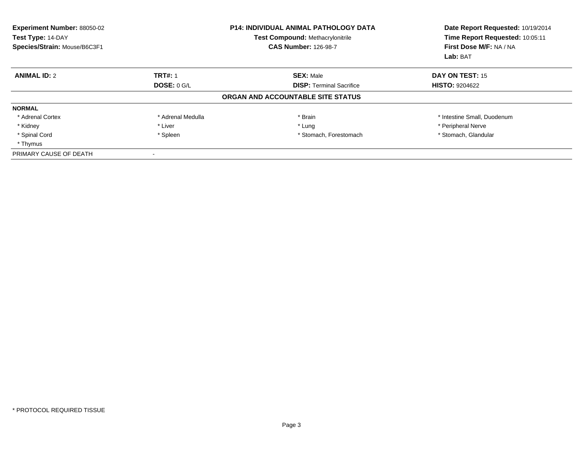| <b>Experiment Number: 88050-02</b><br>Test Type: 14-DAY<br>Species/Strain: Mouse/B6C3F1 |                                 | <b>P14: INDIVIDUAL ANIMAL PATHOLOGY DATA</b><br><b>Test Compound: Methacrylonitrile</b><br><b>CAS Number: 126-98-7</b> | Date Report Requested: 10/19/2014<br>Time Report Requested: 10:05:11<br>First Dose M/F: NA / NA<br>Lab: BAT |
|-----------------------------------------------------------------------------------------|---------------------------------|------------------------------------------------------------------------------------------------------------------------|-------------------------------------------------------------------------------------------------------------|
|                                                                                         |                                 |                                                                                                                        |                                                                                                             |
| <b>ANIMAL ID: 2</b>                                                                     | <b>TRT#: 1</b><br>DOSE: $0$ G/L | <b>SEX: Male</b><br><b>DISP:</b> Terminal Sacrifice                                                                    | DAY ON TEST: 15<br><b>HISTO: 9204622</b>                                                                    |
|                                                                                         |                                 | ORGAN AND ACCOUNTABLE SITE STATUS                                                                                      |                                                                                                             |
| <b>NORMAL</b>                                                                           |                                 |                                                                                                                        |                                                                                                             |
| * Adrenal Cortex                                                                        | * Adrenal Medulla               | * Brain                                                                                                                | * Intestine Small, Duodenum                                                                                 |
| * Kidney                                                                                | * Liver                         | * Lung                                                                                                                 | * Peripheral Nerve                                                                                          |
| * Spinal Cord                                                                           | * Spleen                        | * Stomach, Forestomach                                                                                                 | * Stomach, Glandular                                                                                        |
| * Thymus                                                                                |                                 |                                                                                                                        |                                                                                                             |
| PRIMARY CAUSE OF DEATH                                                                  |                                 |                                                                                                                        |                                                                                                             |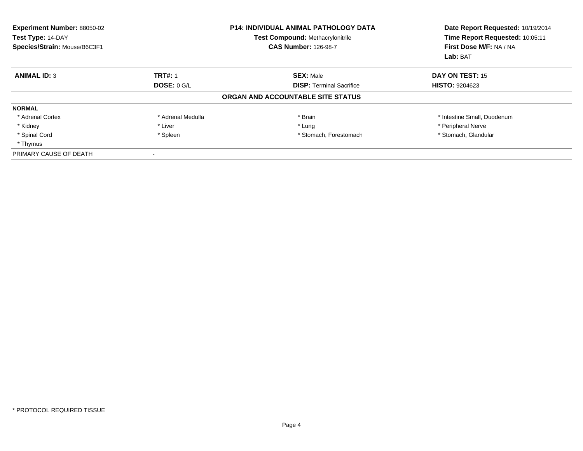| <b>Experiment Number: 88050-02</b><br>Test Type: 14-DAY<br>Species/Strain: Mouse/B6C3F1 |                   | <b>P14: INDIVIDUAL ANIMAL PATHOLOGY DATA</b><br><b>Test Compound: Methacrylonitrile</b><br><b>CAS Number: 126-98-7</b> | Date Report Requested: 10/19/2014<br>Time Report Requested: 10:05:11<br>First Dose M/F: NA / NA<br>Lab: BAT |
|-----------------------------------------------------------------------------------------|-------------------|------------------------------------------------------------------------------------------------------------------------|-------------------------------------------------------------------------------------------------------------|
| <b>ANIMAL ID: 3</b>                                                                     | <b>TRT#: 1</b>    | <b>SEX: Male</b>                                                                                                       | DAY ON TEST: 15                                                                                             |
|                                                                                         | DOSE: $0$ G/L     | <b>DISP:</b> Terminal Sacrifice                                                                                        | <b>HISTO: 9204623</b>                                                                                       |
|                                                                                         |                   | ORGAN AND ACCOUNTABLE SITE STATUS                                                                                      |                                                                                                             |
| <b>NORMAL</b>                                                                           |                   |                                                                                                                        |                                                                                                             |
| * Adrenal Cortex                                                                        | * Adrenal Medulla | * Brain                                                                                                                | * Intestine Small, Duodenum                                                                                 |
| * Kidney                                                                                | * Liver           | * Lung                                                                                                                 | * Peripheral Nerve                                                                                          |
| * Spinal Cord                                                                           | * Spleen          | * Stomach, Forestomach                                                                                                 | * Stomach. Glandular                                                                                        |
| * Thymus                                                                                |                   |                                                                                                                        |                                                                                                             |
| PRIMARY CAUSE OF DEATH                                                                  |                   |                                                                                                                        |                                                                                                             |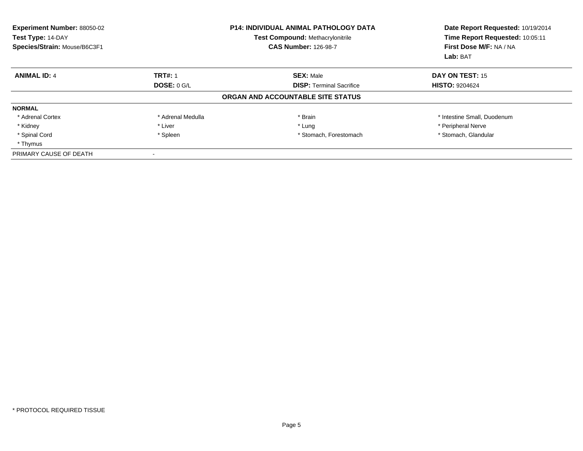| <b>Experiment Number: 88050-02</b><br>Test Type: 14-DAY<br>Species/Strain: Mouse/B6C3F1 |                   | <b>P14: INDIVIDUAL ANIMAL PATHOLOGY DATA</b><br><b>Test Compound: Methacrylonitrile</b><br><b>CAS Number: 126-98-7</b> | Date Report Requested: 10/19/2014<br>Time Report Requested: 10:05:11<br>First Dose M/F: NA / NA<br>Lab: BAT |
|-----------------------------------------------------------------------------------------|-------------------|------------------------------------------------------------------------------------------------------------------------|-------------------------------------------------------------------------------------------------------------|
| <b>ANIMAL ID: 4</b>                                                                     | <b>TRT#: 1</b>    | <b>SEX: Male</b>                                                                                                       | DAY ON TEST: 15                                                                                             |
|                                                                                         | DOSE: $0$ G/L     | <b>DISP:</b> Terminal Sacrifice                                                                                        | <b>HISTO: 9204624</b>                                                                                       |
|                                                                                         |                   | ORGAN AND ACCOUNTABLE SITE STATUS                                                                                      |                                                                                                             |
| <b>NORMAL</b>                                                                           |                   |                                                                                                                        |                                                                                                             |
| * Adrenal Cortex                                                                        | * Adrenal Medulla | * Brain                                                                                                                | * Intestine Small, Duodenum                                                                                 |
| * Kidney                                                                                | * Liver           | * Lung                                                                                                                 | * Peripheral Nerve                                                                                          |
| * Spinal Cord                                                                           | * Spleen          | * Stomach, Forestomach                                                                                                 | * Stomach. Glandular                                                                                        |
| * Thymus                                                                                |                   |                                                                                                                        |                                                                                                             |
| PRIMARY CAUSE OF DEATH                                                                  |                   |                                                                                                                        |                                                                                                             |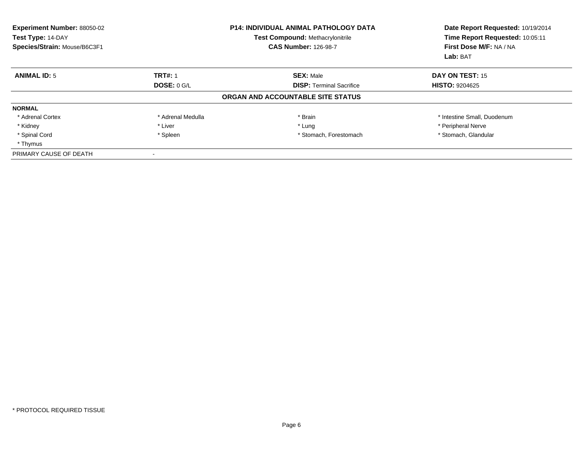| <b>Experiment Number: 88050-02</b><br>Test Type: 14-DAY<br>Species/Strain: Mouse/B6C3F1 |                   | <b>P14: INDIVIDUAL ANIMAL PATHOLOGY DATA</b><br><b>Test Compound: Methacrylonitrile</b><br><b>CAS Number: 126-98-7</b> | Date Report Requested: 10/19/2014<br>Time Report Requested: 10:05:11<br>First Dose M/F: NA / NA<br>Lab: BAT |
|-----------------------------------------------------------------------------------------|-------------------|------------------------------------------------------------------------------------------------------------------------|-------------------------------------------------------------------------------------------------------------|
| <b>ANIMAL ID: 5</b>                                                                     | <b>TRT#: 1</b>    | <b>SEX: Male</b>                                                                                                       | DAY ON TEST: 15                                                                                             |
|                                                                                         | DOSE: $0$ G/L     | <b>DISP:</b> Terminal Sacrifice                                                                                        | <b>HISTO: 9204625</b>                                                                                       |
|                                                                                         |                   | ORGAN AND ACCOUNTABLE SITE STATUS                                                                                      |                                                                                                             |
| <b>NORMAL</b>                                                                           |                   |                                                                                                                        |                                                                                                             |
| * Adrenal Cortex                                                                        | * Adrenal Medulla | * Brain                                                                                                                | * Intestine Small, Duodenum                                                                                 |
| * Kidney                                                                                | * Liver           | * Lung                                                                                                                 | * Peripheral Nerve                                                                                          |
| * Spinal Cord                                                                           | * Spleen          | * Stomach, Forestomach                                                                                                 | * Stomach. Glandular                                                                                        |
| * Thymus                                                                                |                   |                                                                                                                        |                                                                                                             |
| PRIMARY CAUSE OF DEATH                                                                  |                   |                                                                                                                        |                                                                                                             |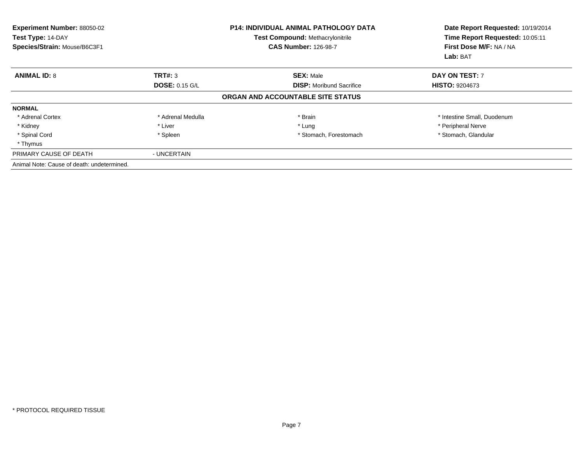| Experiment Number: 88050-02<br>Test Type: 14-DAY<br>Species/Strain: Mouse/B6C3F1 |                       | <b>P14: INDIVIDUAL ANIMAL PATHOLOGY DATA</b><br><b>Test Compound: Methacrylonitrile</b><br><b>CAS Number: 126-98-7</b> | Date Report Requested: 10/19/2014<br>Time Report Requested: 10:05:11<br>First Dose M/F: NA / NA<br>Lab: BAT |
|----------------------------------------------------------------------------------|-----------------------|------------------------------------------------------------------------------------------------------------------------|-------------------------------------------------------------------------------------------------------------|
| <b>ANIMAL ID: 8</b>                                                              | TRT#: 3               | <b>SEX: Male</b>                                                                                                       | DAY ON TEST: 7                                                                                              |
|                                                                                  | <b>DOSE: 0.15 G/L</b> | <b>DISP:</b> Moribund Sacrifice                                                                                        | <b>HISTO: 9204673</b>                                                                                       |
|                                                                                  |                       | ORGAN AND ACCOUNTABLE SITE STATUS                                                                                      |                                                                                                             |
| <b>NORMAL</b>                                                                    |                       |                                                                                                                        |                                                                                                             |
| * Adrenal Cortex                                                                 | * Adrenal Medulla     | * Brain                                                                                                                | * Intestine Small, Duodenum                                                                                 |
| * Kidney                                                                         | * Liver               | * Lung                                                                                                                 | * Peripheral Nerve                                                                                          |
| * Spinal Cord                                                                    | * Spleen              | * Stomach, Forestomach                                                                                                 | * Stomach, Glandular                                                                                        |
| * Thymus                                                                         |                       |                                                                                                                        |                                                                                                             |
| PRIMARY CAUSE OF DEATH                                                           | - UNCERTAIN           |                                                                                                                        |                                                                                                             |
| Animal Note: Cause of death: undetermined.                                       |                       |                                                                                                                        |                                                                                                             |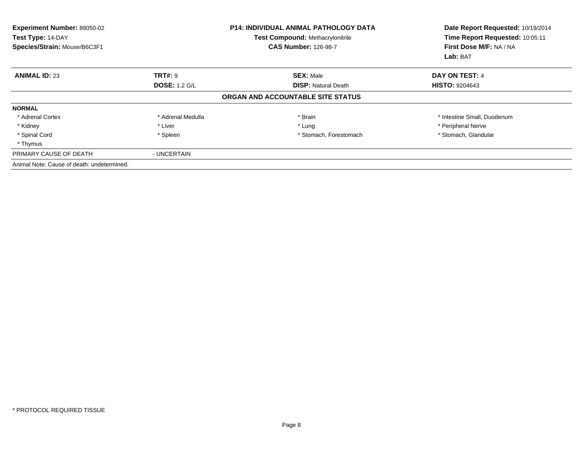| Experiment Number: 88050-02<br>Test Type: 14-DAY<br>Species/Strain: Mouse/B6C3F1 |                      | <b>P14: INDIVIDUAL ANIMAL PATHOLOGY DATA</b><br><b>Test Compound: Methacrylonitrile</b><br><b>CAS Number: 126-98-7</b> | Date Report Requested: 10/19/2014<br>Time Report Requested: 10:05:11<br>First Dose M/F: NA / NA<br>Lab: BAT |
|----------------------------------------------------------------------------------|----------------------|------------------------------------------------------------------------------------------------------------------------|-------------------------------------------------------------------------------------------------------------|
| <b>ANIMAL ID: 23</b>                                                             | <b>TRT#: 9</b>       | <b>SEX: Male</b>                                                                                                       | <b>DAY ON TEST: 4</b>                                                                                       |
|                                                                                  | <b>DOSE: 1.2 G/L</b> | <b>DISP:</b> Natural Death                                                                                             | <b>HISTO: 9204643</b>                                                                                       |
|                                                                                  |                      | ORGAN AND ACCOUNTABLE SITE STATUS                                                                                      |                                                                                                             |
| <b>NORMAL</b>                                                                    |                      |                                                                                                                        |                                                                                                             |
| * Adrenal Cortex                                                                 | * Adrenal Medulla    | * Brain                                                                                                                | * Intestine Small, Duodenum                                                                                 |
| * Kidney                                                                         | * Liver              | * Lung                                                                                                                 | * Peripheral Nerve                                                                                          |
| * Spinal Cord                                                                    | * Spleen             | * Stomach, Forestomach                                                                                                 | * Stomach, Glandular                                                                                        |
| * Thymus                                                                         |                      |                                                                                                                        |                                                                                                             |
| PRIMARY CAUSE OF DEATH                                                           | - UNCERTAIN          |                                                                                                                        |                                                                                                             |
| Animal Note: Cause of death: undetermined.                                       |                      |                                                                                                                        |                                                                                                             |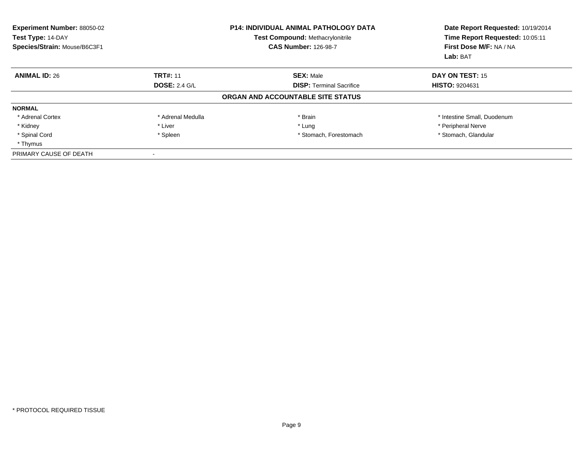| <b>Experiment Number: 88050-02</b><br>Test Type: 14-DAY<br>Species/Strain: Mouse/B6C3F1 |                      | <b>P14: INDIVIDUAL ANIMAL PATHOLOGY DATA</b><br><b>Test Compound: Methacrylonitrile</b><br><b>CAS Number: 126-98-7</b> | Date Report Requested: 10/19/2014<br>Time Report Requested: 10:05:11<br>First Dose M/F: NA / NA<br>Lab: BAT |
|-----------------------------------------------------------------------------------------|----------------------|------------------------------------------------------------------------------------------------------------------------|-------------------------------------------------------------------------------------------------------------|
| <b>ANIMAL ID: 26</b>                                                                    | <b>TRT#: 11</b>      | <b>SEX: Male</b>                                                                                                       | DAY ON TEST: 15                                                                                             |
|                                                                                         | <b>DOSE: 2.4 G/L</b> | <b>DISP:</b> Terminal Sacrifice                                                                                        | <b>HISTO: 9204631</b>                                                                                       |
|                                                                                         |                      | ORGAN AND ACCOUNTABLE SITE STATUS                                                                                      |                                                                                                             |
| <b>NORMAL</b>                                                                           |                      |                                                                                                                        |                                                                                                             |
| * Adrenal Cortex                                                                        | * Adrenal Medulla    | * Brain                                                                                                                | * Intestine Small, Duodenum                                                                                 |
| * Kidney                                                                                | * Liver              | * Lung                                                                                                                 | * Peripheral Nerve                                                                                          |
| * Spinal Cord                                                                           | * Spleen             | * Stomach, Forestomach                                                                                                 | * Stomach, Glandular                                                                                        |
| * Thymus                                                                                |                      |                                                                                                                        |                                                                                                             |
| PRIMARY CAUSE OF DEATH                                                                  |                      |                                                                                                                        |                                                                                                             |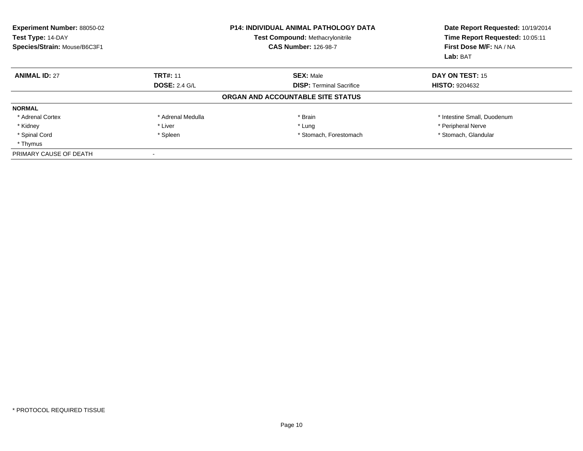| <b>Experiment Number: 88050-02</b><br>Test Type: 14-DAY<br>Species/Strain: Mouse/B6C3F1 |                      | <b>P14: INDIVIDUAL ANIMAL PATHOLOGY DATA</b><br><b>Test Compound: Methacrylonitrile</b><br><b>CAS Number: 126-98-7</b> | Date Report Requested: 10/19/2014<br>Time Report Requested: 10:05:11<br>First Dose M/F: NA / NA<br>Lab: BAT |
|-----------------------------------------------------------------------------------------|----------------------|------------------------------------------------------------------------------------------------------------------------|-------------------------------------------------------------------------------------------------------------|
| <b>ANIMAL ID: 27</b>                                                                    | <b>TRT#: 11</b>      | <b>SEX: Male</b>                                                                                                       | DAY ON TEST: 15                                                                                             |
|                                                                                         | <b>DOSE: 2.4 G/L</b> | <b>DISP:</b> Terminal Sacrifice                                                                                        | <b>HISTO: 9204632</b>                                                                                       |
|                                                                                         |                      | ORGAN AND ACCOUNTABLE SITE STATUS                                                                                      |                                                                                                             |
| <b>NORMAL</b>                                                                           |                      |                                                                                                                        |                                                                                                             |
| * Adrenal Cortex                                                                        | * Adrenal Medulla    | * Brain                                                                                                                | * Intestine Small, Duodenum                                                                                 |
| * Kidney                                                                                | * Liver              | * Lung                                                                                                                 | * Peripheral Nerve                                                                                          |
| * Spinal Cord                                                                           | * Spleen             | * Stomach, Forestomach                                                                                                 | * Stomach, Glandular                                                                                        |
| * Thymus                                                                                |                      |                                                                                                                        |                                                                                                             |
| PRIMARY CAUSE OF DEATH                                                                  |                      |                                                                                                                        |                                                                                                             |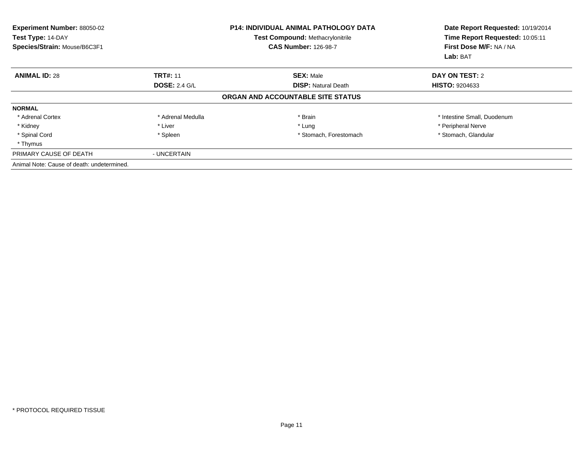| Experiment Number: 88050-02<br>Test Type: 14-DAY<br>Species/Strain: Mouse/B6C3F1 |                      | <b>P14: INDIVIDUAL ANIMAL PATHOLOGY DATA</b><br><b>Test Compound: Methacrylonitrile</b><br><b>CAS Number: 126-98-7</b> | Date Report Requested: 10/19/2014<br>Time Report Requested: 10:05:11<br>First Dose M/F: NA / NA<br>Lab: BAT |
|----------------------------------------------------------------------------------|----------------------|------------------------------------------------------------------------------------------------------------------------|-------------------------------------------------------------------------------------------------------------|
| <b>ANIMAL ID: 28</b>                                                             | <b>TRT#: 11</b>      | <b>SEX: Male</b>                                                                                                       | DAY ON TEST: 2                                                                                              |
|                                                                                  | <b>DOSE: 2.4 G/L</b> | <b>DISP:</b> Natural Death                                                                                             | <b>HISTO: 9204633</b>                                                                                       |
|                                                                                  |                      | ORGAN AND ACCOUNTABLE SITE STATUS                                                                                      |                                                                                                             |
| <b>NORMAL</b>                                                                    |                      |                                                                                                                        |                                                                                                             |
| * Adrenal Cortex                                                                 | * Adrenal Medulla    | * Brain                                                                                                                | * Intestine Small, Duodenum                                                                                 |
| * Kidney                                                                         | * Liver              | * Lung                                                                                                                 | * Peripheral Nerve                                                                                          |
| * Spinal Cord                                                                    | * Spleen             | * Stomach, Forestomach                                                                                                 | * Stomach, Glandular                                                                                        |
| * Thymus                                                                         |                      |                                                                                                                        |                                                                                                             |
| PRIMARY CAUSE OF DEATH                                                           | - UNCERTAIN          |                                                                                                                        |                                                                                                             |
| Animal Note: Cause of death: undetermined.                                       |                      |                                                                                                                        |                                                                                                             |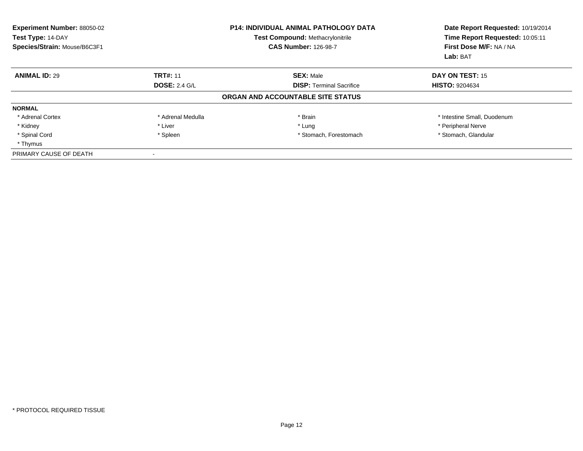| <b>Experiment Number: 88050-02</b><br>Test Type: 14-DAY<br>Species/Strain: Mouse/B6C3F1 |                      | <b>P14: INDIVIDUAL ANIMAL PATHOLOGY DATA</b><br><b>Test Compound: Methacrylonitrile</b><br><b>CAS Number: 126-98-7</b> | Date Report Requested: 10/19/2014<br>Time Report Requested: 10:05:11<br>First Dose M/F: NA / NA<br>Lab: BAT |
|-----------------------------------------------------------------------------------------|----------------------|------------------------------------------------------------------------------------------------------------------------|-------------------------------------------------------------------------------------------------------------|
| <b>ANIMAL ID: 29</b>                                                                    | <b>TRT#: 11</b>      | <b>SEX: Male</b>                                                                                                       | <b>DAY ON TEST: 15</b>                                                                                      |
|                                                                                         | <b>DOSE: 2.4 G/L</b> | <b>DISP: Terminal Sacrifice</b>                                                                                        | <b>HISTO: 9204634</b>                                                                                       |
|                                                                                         |                      | ORGAN AND ACCOUNTABLE SITE STATUS                                                                                      |                                                                                                             |
| <b>NORMAL</b>                                                                           |                      |                                                                                                                        |                                                                                                             |
| * Adrenal Cortex                                                                        | * Adrenal Medulla    | * Brain                                                                                                                | * Intestine Small, Duodenum                                                                                 |
| * Kidney                                                                                | * Liver              | * Lung                                                                                                                 | * Peripheral Nerve                                                                                          |
| * Spinal Cord                                                                           | * Spleen             | * Stomach, Forestomach                                                                                                 | * Stomach, Glandular                                                                                        |
| * Thymus                                                                                |                      |                                                                                                                        |                                                                                                             |
| PRIMARY CAUSE OF DEATH                                                                  |                      |                                                                                                                        |                                                                                                             |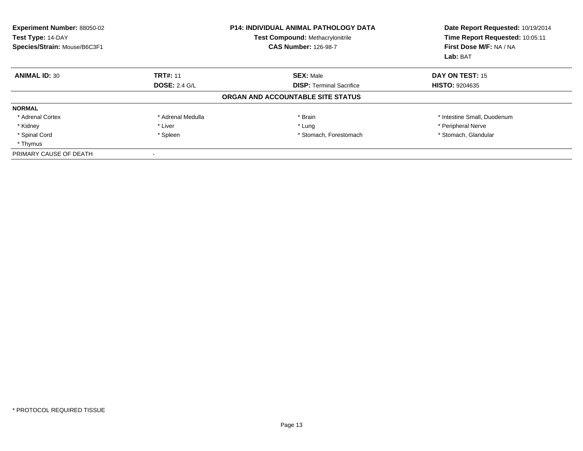| <b>Experiment Number: 88050-02</b><br>Test Type: 14-DAY<br>Species/Strain: Mouse/B6C3F1 |                      | <b>P14: INDIVIDUAL ANIMAL PATHOLOGY DATA</b><br><b>Test Compound: Methacrylonitrile</b><br><b>CAS Number: 126-98-7</b> | Date Report Requested: 10/19/2014<br>Time Report Requested: 10:05:11<br>First Dose M/F: NA / NA<br>Lab: BAT |
|-----------------------------------------------------------------------------------------|----------------------|------------------------------------------------------------------------------------------------------------------------|-------------------------------------------------------------------------------------------------------------|
| <b>ANIMAL ID: 30</b>                                                                    | <b>TRT#: 11</b>      | <b>SEX: Male</b>                                                                                                       | <b>DAY ON TEST: 15</b>                                                                                      |
|                                                                                         | <b>DOSE: 2.4 G/L</b> | <b>DISP: Terminal Sacrifice</b>                                                                                        | <b>HISTO: 9204635</b>                                                                                       |
|                                                                                         |                      | ORGAN AND ACCOUNTABLE SITE STATUS                                                                                      |                                                                                                             |
| <b>NORMAL</b>                                                                           |                      |                                                                                                                        |                                                                                                             |
| * Adrenal Cortex                                                                        | * Adrenal Medulla    | * Brain                                                                                                                | * Intestine Small, Duodenum                                                                                 |
| * Kidney                                                                                | * Liver              | * Lung                                                                                                                 | * Peripheral Nerve                                                                                          |
| * Spinal Cord                                                                           | * Spleen             | * Stomach, Forestomach                                                                                                 | * Stomach, Glandular                                                                                        |
| * Thymus                                                                                |                      |                                                                                                                        |                                                                                                             |
| PRIMARY CAUSE OF DEATH                                                                  |                      |                                                                                                                        |                                                                                                             |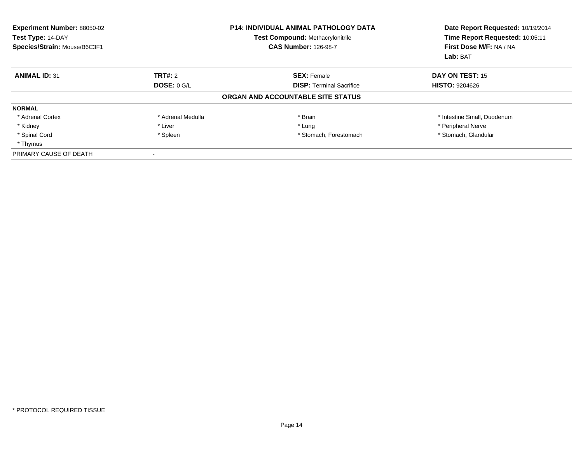| <b>Experiment Number: 88050-02</b><br>Test Type: 14-DAY<br>Species/Strain: Mouse/B6C3F1 |                   | <b>P14: INDIVIDUAL ANIMAL PATHOLOGY DATA</b><br><b>Test Compound: Methacrylonitrile</b><br><b>CAS Number: 126-98-7</b> | Date Report Requested: 10/19/2014<br>Time Report Requested: 10:05:11<br>First Dose M/F: NA / NA<br>Lab: BAT |
|-----------------------------------------------------------------------------------------|-------------------|------------------------------------------------------------------------------------------------------------------------|-------------------------------------------------------------------------------------------------------------|
| <b>ANIMAL ID: 31</b>                                                                    | <b>TRT#:</b> 2    | <b>SEX: Female</b>                                                                                                     | DAY ON TEST: 15                                                                                             |
|                                                                                         | DOSE: $0$ G/L     | <b>DISP:</b> Terminal Sacrifice                                                                                        | <b>HISTO: 9204626</b>                                                                                       |
|                                                                                         |                   | ORGAN AND ACCOUNTABLE SITE STATUS                                                                                      |                                                                                                             |
| <b>NORMAL</b>                                                                           |                   |                                                                                                                        |                                                                                                             |
| * Adrenal Cortex                                                                        | * Adrenal Medulla | * Brain                                                                                                                | * Intestine Small, Duodenum                                                                                 |
| * Kidney                                                                                | * Liver           | * Lung                                                                                                                 | * Peripheral Nerve                                                                                          |
| * Spinal Cord                                                                           | * Spleen          | * Stomach, Forestomach                                                                                                 | * Stomach. Glandular                                                                                        |
| * Thymus                                                                                |                   |                                                                                                                        |                                                                                                             |
| PRIMARY CAUSE OF DEATH                                                                  |                   |                                                                                                                        |                                                                                                             |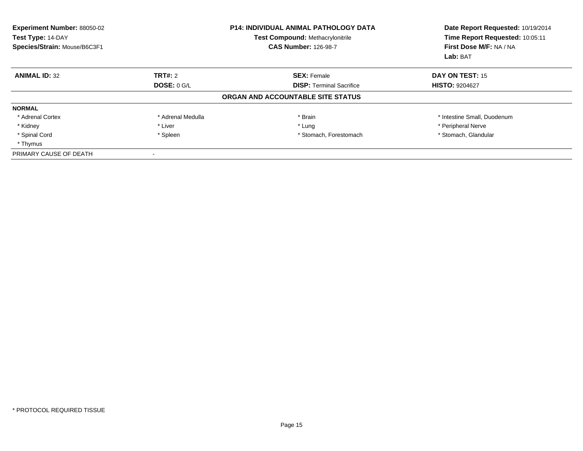| Experiment Number: 88050-02<br>Test Type: 14-DAY<br>Species/Strain: Mouse/B6C3F1 |                   | <b>P14: INDIVIDUAL ANIMAL PATHOLOGY DATA</b><br><b>Test Compound: Methacrylonitrile</b><br><b>CAS Number: 126-98-7</b> | Date Report Requested: 10/19/2014<br>Time Report Requested: 10:05:11<br>First Dose M/F: NA / NA<br>Lab: BAT |
|----------------------------------------------------------------------------------|-------------------|------------------------------------------------------------------------------------------------------------------------|-------------------------------------------------------------------------------------------------------------|
| <b>ANIMAL ID: 32</b>                                                             | TRT#: 2           | <b>SEX: Female</b>                                                                                                     | DAY ON TEST: 15                                                                                             |
|                                                                                  | DOSE: 0 G/L       | <b>DISP:</b> Terminal Sacrifice                                                                                        | <b>HISTO: 9204627</b>                                                                                       |
|                                                                                  |                   | ORGAN AND ACCOUNTABLE SITE STATUS                                                                                      |                                                                                                             |
| <b>NORMAL</b>                                                                    |                   |                                                                                                                        |                                                                                                             |
| * Adrenal Cortex                                                                 | * Adrenal Medulla | * Brain                                                                                                                | * Intestine Small, Duodenum                                                                                 |
| * Kidney                                                                         | * Liver           | * Lung                                                                                                                 | * Peripheral Nerve                                                                                          |
| * Spinal Cord                                                                    | * Spleen          | * Stomach, Forestomach                                                                                                 | * Stomach, Glandular                                                                                        |
| * Thymus                                                                         |                   |                                                                                                                        |                                                                                                             |
| PRIMARY CAUSE OF DEATH                                                           |                   |                                                                                                                        |                                                                                                             |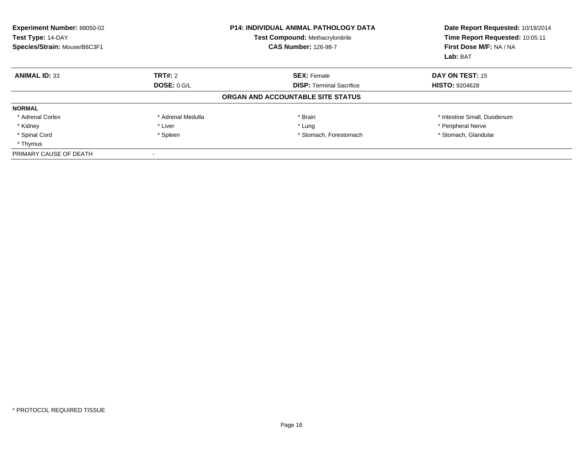| <b>Experiment Number: 88050-02</b><br>Test Type: 14-DAY<br>Species/Strain: Mouse/B6C3F1 |                   | <b>P14: INDIVIDUAL ANIMAL PATHOLOGY DATA</b><br><b>Test Compound: Methacrylonitrile</b><br><b>CAS Number: 126-98-7</b> | Date Report Requested: 10/19/2014<br>Time Report Requested: 10:05:11<br>First Dose M/F: NA / NA<br>Lab: BAT |
|-----------------------------------------------------------------------------------------|-------------------|------------------------------------------------------------------------------------------------------------------------|-------------------------------------------------------------------------------------------------------------|
| <b>ANIMAL ID: 33</b>                                                                    | TRT#: 2           | <b>SEX: Female</b>                                                                                                     | DAY ON TEST: 15                                                                                             |
|                                                                                         | DOSE: 0 G/L       | <b>DISP:</b> Terminal Sacrifice                                                                                        | <b>HISTO: 9204628</b>                                                                                       |
|                                                                                         |                   | ORGAN AND ACCOUNTABLE SITE STATUS                                                                                      |                                                                                                             |
| <b>NORMAL</b>                                                                           |                   |                                                                                                                        |                                                                                                             |
| * Adrenal Cortex                                                                        | * Adrenal Medulla | * Brain                                                                                                                | * Intestine Small, Duodenum                                                                                 |
| * Kidney                                                                                | * Liver           | * Lung                                                                                                                 | * Peripheral Nerve                                                                                          |
| * Spinal Cord                                                                           | * Spleen          | * Stomach, Forestomach                                                                                                 | * Stomach, Glandular                                                                                        |
| * Thymus                                                                                |                   |                                                                                                                        |                                                                                                             |
| PRIMARY CAUSE OF DEATH                                                                  |                   |                                                                                                                        |                                                                                                             |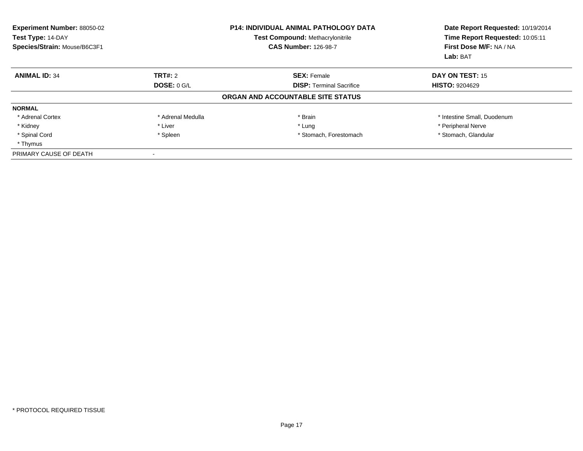| <b>Experiment Number: 88050-02</b><br>Test Type: 14-DAY<br>Species/Strain: Mouse/B6C3F1 |                   | <b>P14: INDIVIDUAL ANIMAL PATHOLOGY DATA</b><br><b>Test Compound: Methacrylonitrile</b><br><b>CAS Number: 126-98-7</b> | Date Report Requested: 10/19/2014<br>Time Report Requested: 10:05:11<br>First Dose M/F: NA / NA<br>Lab: BAT |
|-----------------------------------------------------------------------------------------|-------------------|------------------------------------------------------------------------------------------------------------------------|-------------------------------------------------------------------------------------------------------------|
| <b>ANIMAL ID: 34</b>                                                                    | TRT#: 2           | <b>SEX: Female</b>                                                                                                     | DAY ON TEST: 15                                                                                             |
|                                                                                         | DOSE: 0 G/L       | <b>DISP:</b> Terminal Sacrifice                                                                                        | <b>HISTO: 9204629</b>                                                                                       |
|                                                                                         |                   | ORGAN AND ACCOUNTABLE SITE STATUS                                                                                      |                                                                                                             |
| <b>NORMAL</b>                                                                           |                   |                                                                                                                        |                                                                                                             |
| * Adrenal Cortex                                                                        | * Adrenal Medulla | * Brain                                                                                                                | * Intestine Small, Duodenum                                                                                 |
| * Kidney                                                                                | * Liver           | * Lung                                                                                                                 | * Peripheral Nerve                                                                                          |
| * Spinal Cord                                                                           | * Spleen          | * Stomach, Forestomach                                                                                                 | * Stomach, Glandular                                                                                        |
| * Thymus                                                                                |                   |                                                                                                                        |                                                                                                             |
| PRIMARY CAUSE OF DEATH                                                                  |                   |                                                                                                                        |                                                                                                             |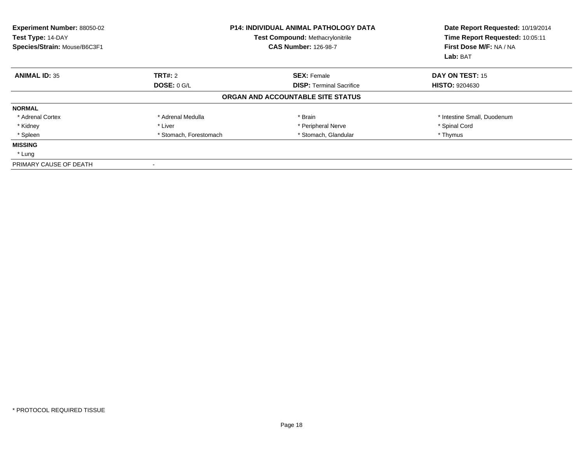| Experiment Number: 88050-02<br>Test Type: 14-DAY<br>Species/Strain: Mouse/B6C3F1 |                        | <b>P14: INDIVIDUAL ANIMAL PATHOLOGY DATA</b><br><b>Test Compound: Methacrylonitrile</b><br><b>CAS Number: 126-98-7</b> | Date Report Requested: 10/19/2014<br>Time Report Requested: 10:05:11<br>First Dose M/F: NA / NA<br>Lab: BAT |
|----------------------------------------------------------------------------------|------------------------|------------------------------------------------------------------------------------------------------------------------|-------------------------------------------------------------------------------------------------------------|
| <b>ANIMAL ID: 35</b>                                                             | <b>TRT#: 2</b>         | <b>SEX: Female</b>                                                                                                     | DAY ON TEST: 15                                                                                             |
|                                                                                  | <b>DOSE: 0 G/L</b>     | <b>DISP:</b> Terminal Sacrifice                                                                                        | <b>HISTO: 9204630</b>                                                                                       |
|                                                                                  |                        | ORGAN AND ACCOUNTABLE SITE STATUS                                                                                      |                                                                                                             |
| <b>NORMAL</b>                                                                    |                        |                                                                                                                        |                                                                                                             |
| * Adrenal Cortex                                                                 | * Adrenal Medulla      | * Brain                                                                                                                | * Intestine Small, Duodenum                                                                                 |
| * Kidney                                                                         | * Liver                | * Peripheral Nerve                                                                                                     | * Spinal Cord                                                                                               |
| * Spleen                                                                         | * Stomach, Forestomach | * Stomach, Glandular                                                                                                   | * Thymus                                                                                                    |
| <b>MISSING</b>                                                                   |                        |                                                                                                                        |                                                                                                             |
| * Lung                                                                           |                        |                                                                                                                        |                                                                                                             |
| PRIMARY CAUSE OF DEATH                                                           |                        |                                                                                                                        |                                                                                                             |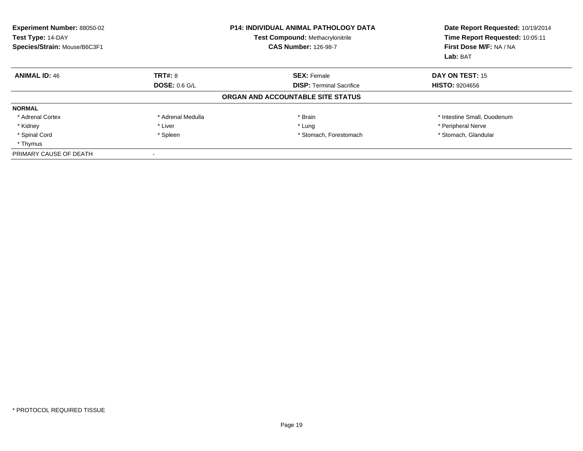| Experiment Number: 88050-02<br>Test Type: 14-DAY<br>Species/Strain: Mouse/B6C3F1 |                      | <b>P14: INDIVIDUAL ANIMAL PATHOLOGY DATA</b><br><b>Test Compound: Methacrylonitrile</b><br><b>CAS Number: 126-98-7</b> | Date Report Requested: 10/19/2014<br>Time Report Requested: 10:05:11<br>First Dose M/F: NA / NA<br>Lab: BAT |
|----------------------------------------------------------------------------------|----------------------|------------------------------------------------------------------------------------------------------------------------|-------------------------------------------------------------------------------------------------------------|
| <b>ANIMAL ID: 46</b>                                                             | <b>TRT#: 8</b>       | <b>SEX: Female</b>                                                                                                     | DAY ON TEST: 15                                                                                             |
|                                                                                  | <b>DOSE: 0.6 G/L</b> | <b>DISP:</b> Terminal Sacrifice                                                                                        | <b>HISTO: 9204656</b>                                                                                       |
|                                                                                  |                      | ORGAN AND ACCOUNTABLE SITE STATUS                                                                                      |                                                                                                             |
| <b>NORMAL</b>                                                                    |                      |                                                                                                                        |                                                                                                             |
| * Adrenal Cortex                                                                 | * Adrenal Medulla    | * Brain                                                                                                                | * Intestine Small, Duodenum                                                                                 |
| * Kidney                                                                         | * Liver              | * Lung                                                                                                                 | * Peripheral Nerve                                                                                          |
| * Spinal Cord                                                                    | * Spleen             | * Stomach, Forestomach                                                                                                 | * Stomach, Glandular                                                                                        |
| * Thymus                                                                         |                      |                                                                                                                        |                                                                                                             |
| PRIMARY CAUSE OF DEATH                                                           |                      |                                                                                                                        |                                                                                                             |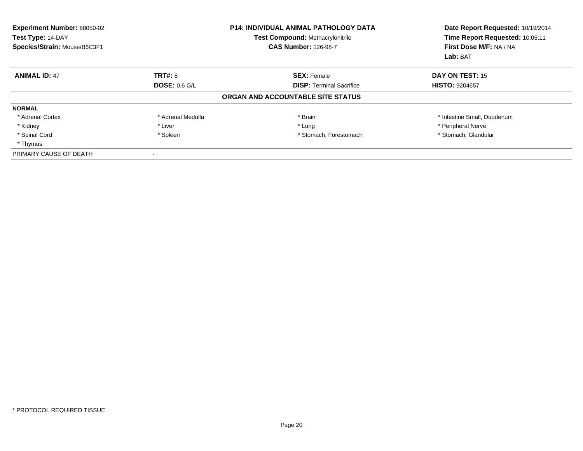| Experiment Number: 88050-02<br>Test Type: 14-DAY<br>Species/Strain: Mouse/B6C3F1 |                      | <b>P14: INDIVIDUAL ANIMAL PATHOLOGY DATA</b><br><b>Test Compound: Methacrylonitrile</b><br><b>CAS Number: 126-98-7</b> | Date Report Requested: 10/19/2014<br>Time Report Requested: 10:05:11<br>First Dose M/F: NA / NA<br>Lab: BAT |
|----------------------------------------------------------------------------------|----------------------|------------------------------------------------------------------------------------------------------------------------|-------------------------------------------------------------------------------------------------------------|
| <b>ANIMAL ID: 47</b>                                                             | <b>TRT#: 8</b>       | <b>SEX: Female</b>                                                                                                     | DAY ON TEST: 15                                                                                             |
|                                                                                  | <b>DOSE: 0.6 G/L</b> | <b>DISP:</b> Terminal Sacrifice                                                                                        | <b>HISTO: 9204657</b>                                                                                       |
|                                                                                  |                      | ORGAN AND ACCOUNTABLE SITE STATUS                                                                                      |                                                                                                             |
| <b>NORMAL</b>                                                                    |                      |                                                                                                                        |                                                                                                             |
| * Adrenal Cortex                                                                 | * Adrenal Medulla    | * Brain                                                                                                                | * Intestine Small, Duodenum                                                                                 |
| * Kidney                                                                         | * Liver              | * Lung                                                                                                                 | * Peripheral Nerve                                                                                          |
| * Spinal Cord                                                                    | * Spleen             | * Stomach, Forestomach                                                                                                 | * Stomach, Glandular                                                                                        |
| * Thymus                                                                         |                      |                                                                                                                        |                                                                                                             |
| PRIMARY CAUSE OF DEATH                                                           |                      |                                                                                                                        |                                                                                                             |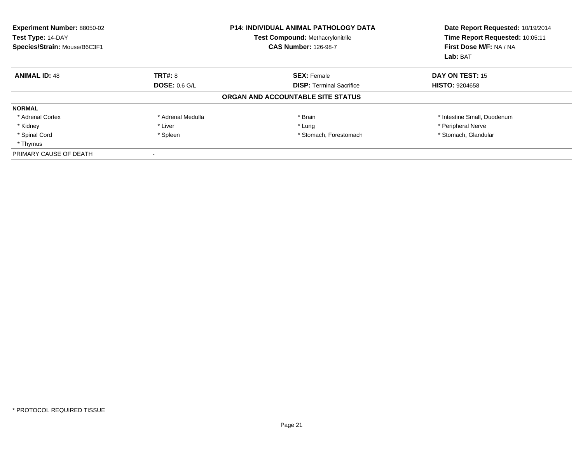| <b>Experiment Number: 88050-02</b><br>Test Type: 14-DAY<br>Species/Strain: Mouse/B6C3F1 |                      | <b>P14: INDIVIDUAL ANIMAL PATHOLOGY DATA</b><br><b>Test Compound: Methacrylonitrile</b><br><b>CAS Number: 126-98-7</b> | Date Report Requested: 10/19/2014<br>Time Report Requested: 10:05:11<br>First Dose M/F: NA / NA<br>Lab: BAT |
|-----------------------------------------------------------------------------------------|----------------------|------------------------------------------------------------------------------------------------------------------------|-------------------------------------------------------------------------------------------------------------|
| <b>ANIMAL ID: 48</b>                                                                    | <b>TRT#: 8</b>       | <b>SEX: Female</b>                                                                                                     | DAY ON TEST: 15                                                                                             |
|                                                                                         | <b>DOSE: 0.6 G/L</b> | <b>DISP:</b> Terminal Sacrifice                                                                                        | <b>HISTO: 9204658</b>                                                                                       |
|                                                                                         |                      | ORGAN AND ACCOUNTABLE SITE STATUS                                                                                      |                                                                                                             |
| <b>NORMAL</b>                                                                           |                      |                                                                                                                        |                                                                                                             |
| * Adrenal Cortex                                                                        | * Adrenal Medulla    | * Brain                                                                                                                | * Intestine Small, Duodenum                                                                                 |
| * Kidney                                                                                | * Liver              | * Lung                                                                                                                 | * Peripheral Nerve                                                                                          |
| * Spinal Cord                                                                           | * Spleen             | * Stomach, Forestomach                                                                                                 | * Stomach, Glandular                                                                                        |
| * Thymus                                                                                |                      |                                                                                                                        |                                                                                                             |
| PRIMARY CAUSE OF DEATH                                                                  |                      |                                                                                                                        |                                                                                                             |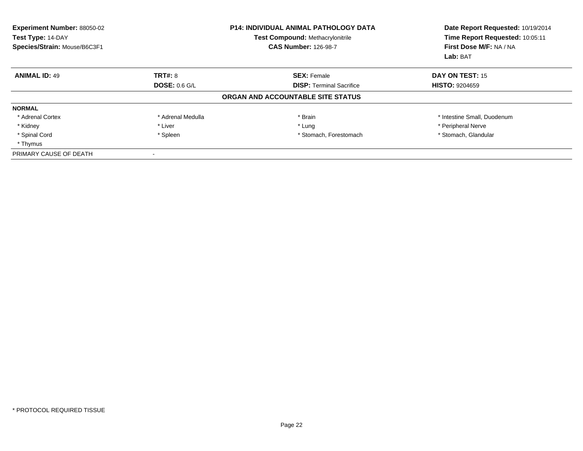| <b>Experiment Number: 88050-02</b><br>Test Type: 14-DAY<br>Species/Strain: Mouse/B6C3F1 |                      | <b>P14: INDIVIDUAL ANIMAL PATHOLOGY DATA</b><br><b>Test Compound: Methacrylonitrile</b><br><b>CAS Number: 126-98-7</b> | Date Report Requested: 10/19/2014<br>Time Report Requested: 10:05:11<br>First Dose M/F: NA / NA<br>Lab: BAT |
|-----------------------------------------------------------------------------------------|----------------------|------------------------------------------------------------------------------------------------------------------------|-------------------------------------------------------------------------------------------------------------|
| <b>ANIMAL ID: 49</b>                                                                    | TRT#: 8              | <b>SEX: Female</b>                                                                                                     | <b>DAY ON TEST: 15</b>                                                                                      |
|                                                                                         | <b>DOSE: 0.6 G/L</b> | <b>DISP: Terminal Sacrifice</b>                                                                                        | <b>HISTO: 9204659</b>                                                                                       |
|                                                                                         |                      | ORGAN AND ACCOUNTABLE SITE STATUS                                                                                      |                                                                                                             |
| <b>NORMAL</b>                                                                           |                      |                                                                                                                        |                                                                                                             |
| * Adrenal Cortex                                                                        | * Adrenal Medulla    | * Brain                                                                                                                | * Intestine Small, Duodenum                                                                                 |
| * Kidney                                                                                | * Liver              | * Lung                                                                                                                 | * Peripheral Nerve                                                                                          |
| * Spinal Cord                                                                           | * Spleen             | * Stomach, Forestomach                                                                                                 | * Stomach, Glandular                                                                                        |
| * Thymus                                                                                |                      |                                                                                                                        |                                                                                                             |
| PRIMARY CAUSE OF DEATH                                                                  |                      |                                                                                                                        |                                                                                                             |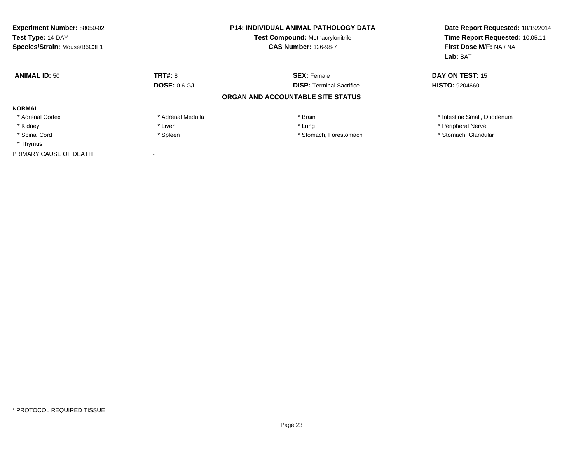| Experiment Number: 88050-02<br>Test Type: 14-DAY<br>Species/Strain: Mouse/B6C3F1 |                      | <b>P14: INDIVIDUAL ANIMAL PATHOLOGY DATA</b><br><b>Test Compound: Methacrylonitrile</b><br><b>CAS Number: 126-98-7</b> | Date Report Requested: 10/19/2014<br>Time Report Requested: 10:05:11<br>First Dose M/F: NA / NA<br>Lab: BAT |
|----------------------------------------------------------------------------------|----------------------|------------------------------------------------------------------------------------------------------------------------|-------------------------------------------------------------------------------------------------------------|
| <b>ANIMAL ID: 50</b>                                                             | <b>TRT#: 8</b>       | <b>SEX: Female</b>                                                                                                     | DAY ON TEST: 15                                                                                             |
|                                                                                  | <b>DOSE: 0.6 G/L</b> | <b>DISP:</b> Terminal Sacrifice                                                                                        | <b>HISTO: 9204660</b>                                                                                       |
|                                                                                  |                      | ORGAN AND ACCOUNTABLE SITE STATUS                                                                                      |                                                                                                             |
| <b>NORMAL</b>                                                                    |                      |                                                                                                                        |                                                                                                             |
| * Adrenal Cortex                                                                 | * Adrenal Medulla    | * Brain                                                                                                                | * Intestine Small, Duodenum                                                                                 |
| * Kidney                                                                         | * Liver              | * Lung                                                                                                                 | * Peripheral Nerve                                                                                          |
| * Spinal Cord                                                                    | * Spleen             | * Stomach, Forestomach                                                                                                 | * Stomach, Glandular                                                                                        |
| * Thymus                                                                         |                      |                                                                                                                        |                                                                                                             |
| PRIMARY CAUSE OF DEATH                                                           |                      |                                                                                                                        |                                                                                                             |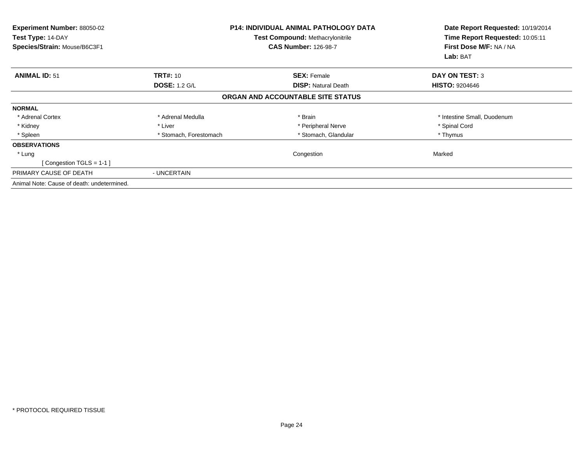| Experiment Number: 88050-02<br>Test Type: 14-DAY<br>Species/Strain: Mouse/B6C3F1 |                        | <b>P14: INDIVIDUAL ANIMAL PATHOLOGY DATA</b><br>Test Compound: Methacrylonitrile<br><b>CAS Number: 126-98-7</b> | Date Report Requested: 10/19/2014<br>Time Report Requested: 10:05:11<br>First Dose M/F: NA / NA<br>Lab: BAT |
|----------------------------------------------------------------------------------|------------------------|-----------------------------------------------------------------------------------------------------------------|-------------------------------------------------------------------------------------------------------------|
| <b>ANIMAL ID: 51</b>                                                             | <b>TRT#: 10</b>        | <b>SEX: Female</b>                                                                                              | <b>DAY ON TEST: 3</b>                                                                                       |
|                                                                                  | <b>DOSE: 1.2 G/L</b>   | <b>DISP:</b> Natural Death                                                                                      | <b>HISTO: 9204646</b>                                                                                       |
|                                                                                  |                        | ORGAN AND ACCOUNTABLE SITE STATUS                                                                               |                                                                                                             |
| <b>NORMAL</b>                                                                    |                        |                                                                                                                 |                                                                                                             |
| * Adrenal Cortex                                                                 | * Adrenal Medulla      | * Brain                                                                                                         | * Intestine Small, Duodenum                                                                                 |
| * Kidney                                                                         | * Liver                | * Peripheral Nerve                                                                                              | * Spinal Cord                                                                                               |
| * Spleen                                                                         | * Stomach, Forestomach | * Stomach, Glandular                                                                                            | * Thymus                                                                                                    |
| <b>OBSERVATIONS</b>                                                              |                        |                                                                                                                 |                                                                                                             |
| * Lung                                                                           |                        | Congestion                                                                                                      | Marked                                                                                                      |
| [Congestion TGLS = $1-1$ ]                                                       |                        |                                                                                                                 |                                                                                                             |
| PRIMARY CAUSE OF DEATH                                                           | - UNCERTAIN            |                                                                                                                 |                                                                                                             |
| Animal Note: Cause of death: undetermined.                                       |                        |                                                                                                                 |                                                                                                             |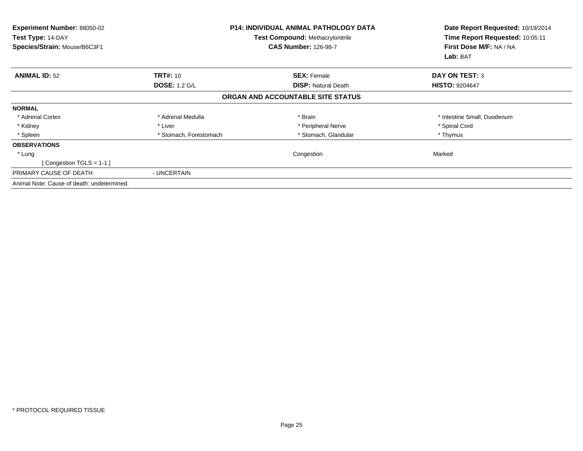| Experiment Number: 88050-02<br>Test Type: 14-DAY<br>Species/Strain: Mouse/B6C3F1 |                        | <b>P14: INDIVIDUAL ANIMAL PATHOLOGY DATA</b><br>Test Compound: Methacrylonitrile<br><b>CAS Number: 126-98-7</b> | Date Report Requested: 10/19/2014<br>Time Report Requested: 10:05:11<br>First Dose M/F: NA / NA<br>Lab: BAT |
|----------------------------------------------------------------------------------|------------------------|-----------------------------------------------------------------------------------------------------------------|-------------------------------------------------------------------------------------------------------------|
| <b>ANIMAL ID: 52</b>                                                             | <b>TRT#: 10</b>        | <b>SEX: Female</b>                                                                                              | <b>DAY ON TEST: 3</b>                                                                                       |
|                                                                                  | <b>DOSE: 1.2 G/L</b>   | <b>DISP:</b> Natural Death                                                                                      | <b>HISTO: 9204647</b>                                                                                       |
|                                                                                  |                        | ORGAN AND ACCOUNTABLE SITE STATUS                                                                               |                                                                                                             |
| <b>NORMAL</b>                                                                    |                        |                                                                                                                 |                                                                                                             |
| * Adrenal Cortex                                                                 | * Adrenal Medulla      | * Brain                                                                                                         | * Intestine Small, Duodenum                                                                                 |
| * Kidney                                                                         | * Liver                | * Peripheral Nerve                                                                                              | * Spinal Cord                                                                                               |
| * Spleen                                                                         | * Stomach, Forestomach | * Stomach, Glandular                                                                                            | * Thymus                                                                                                    |
| <b>OBSERVATIONS</b>                                                              |                        |                                                                                                                 |                                                                                                             |
| * Lung                                                                           |                        | Congestion                                                                                                      | Marked                                                                                                      |
| [Congestion TGLS = $1-1$ ]                                                       |                        |                                                                                                                 |                                                                                                             |
| PRIMARY CAUSE OF DEATH                                                           | - UNCERTAIN            |                                                                                                                 |                                                                                                             |
| Animal Note: Cause of death: undetermined.                                       |                        |                                                                                                                 |                                                                                                             |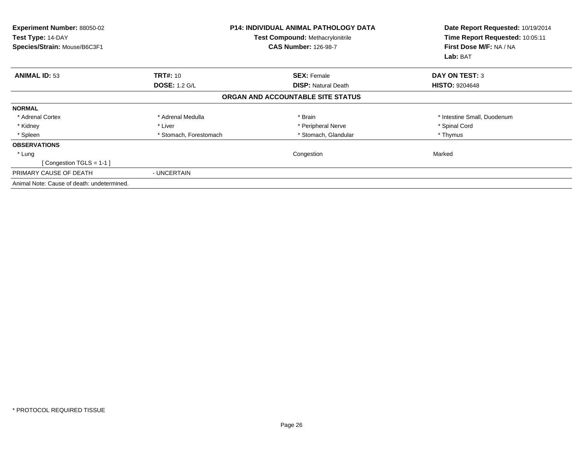| Experiment Number: 88050-02<br>Test Type: 14-DAY<br>Species/Strain: Mouse/B6C3F1 |                        | <b>P14: INDIVIDUAL ANIMAL PATHOLOGY DATA</b><br><b>Test Compound: Methacrylonitrile</b><br><b>CAS Number: 126-98-7</b> | Date Report Requested: 10/19/2014<br>Time Report Requested: 10:05:11<br>First Dose M/F: NA / NA<br>Lab: BAT |
|----------------------------------------------------------------------------------|------------------------|------------------------------------------------------------------------------------------------------------------------|-------------------------------------------------------------------------------------------------------------|
| <b>ANIMAL ID: 53</b>                                                             | <b>TRT#: 10</b>        | <b>SEX: Female</b>                                                                                                     | <b>DAY ON TEST: 3</b>                                                                                       |
|                                                                                  | <b>DOSE: 1.2 G/L</b>   | <b>DISP:</b> Natural Death                                                                                             | <b>HISTO: 9204648</b>                                                                                       |
|                                                                                  |                        | ORGAN AND ACCOUNTABLE SITE STATUS                                                                                      |                                                                                                             |
| <b>NORMAL</b>                                                                    |                        |                                                                                                                        |                                                                                                             |
| * Adrenal Cortex                                                                 | * Adrenal Medulla      | * Brain                                                                                                                | * Intestine Small, Duodenum                                                                                 |
| * Kidney                                                                         | * Liver                | * Peripheral Nerve                                                                                                     | * Spinal Cord                                                                                               |
| * Spleen                                                                         | * Stomach, Forestomach | * Stomach, Glandular                                                                                                   | * Thymus                                                                                                    |
| <b>OBSERVATIONS</b>                                                              |                        |                                                                                                                        |                                                                                                             |
| * Lung                                                                           |                        | Congestion                                                                                                             | Marked                                                                                                      |
| [Congestion TGLS = $1-1$ ]                                                       |                        |                                                                                                                        |                                                                                                             |
| PRIMARY CAUSE OF DEATH                                                           | - UNCERTAIN            |                                                                                                                        |                                                                                                             |
| Animal Note: Cause of death: undetermined.                                       |                        |                                                                                                                        |                                                                                                             |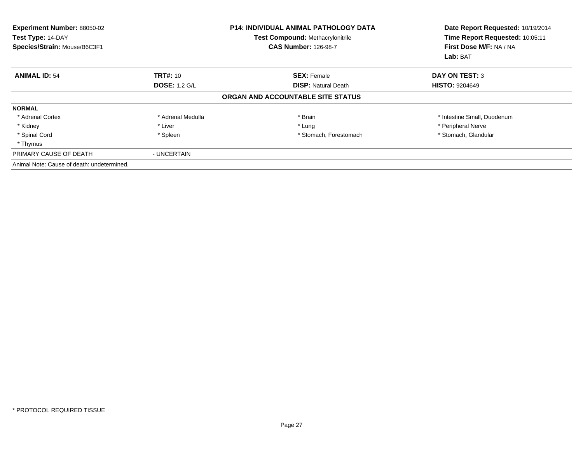| Experiment Number: 88050-02<br>Test Type: 14-DAY<br>Species/Strain: Mouse/B6C3F1 |                      | <b>P14: INDIVIDUAL ANIMAL PATHOLOGY DATA</b><br><b>Test Compound: Methacrylonitrile</b><br><b>CAS Number: 126-98-7</b> | Date Report Requested: 10/19/2014<br>Time Report Requested: 10:05:11<br>First Dose M/F: NA / NA<br>Lab: BAT |
|----------------------------------------------------------------------------------|----------------------|------------------------------------------------------------------------------------------------------------------------|-------------------------------------------------------------------------------------------------------------|
| <b>ANIMAL ID: 54</b>                                                             | <b>TRT#: 10</b>      | <b>SEX: Female</b>                                                                                                     | <b>DAY ON TEST: 3</b>                                                                                       |
|                                                                                  | <b>DOSE: 1.2 G/L</b> | <b>DISP:</b> Natural Death                                                                                             | <b>HISTO: 9204649</b>                                                                                       |
|                                                                                  |                      | ORGAN AND ACCOUNTABLE SITE STATUS                                                                                      |                                                                                                             |
| <b>NORMAL</b>                                                                    |                      |                                                                                                                        |                                                                                                             |
| * Adrenal Cortex                                                                 | * Adrenal Medulla    | * Brain                                                                                                                | * Intestine Small, Duodenum                                                                                 |
| * Kidney                                                                         | * Liver              | * Lung                                                                                                                 | * Peripheral Nerve                                                                                          |
| * Spinal Cord                                                                    | * Spleen             | * Stomach, Forestomach                                                                                                 | * Stomach, Glandular                                                                                        |
| * Thymus                                                                         |                      |                                                                                                                        |                                                                                                             |
| PRIMARY CAUSE OF DEATH                                                           | - UNCERTAIN          |                                                                                                                        |                                                                                                             |
| Animal Note: Cause of death: undetermined.                                       |                      |                                                                                                                        |                                                                                                             |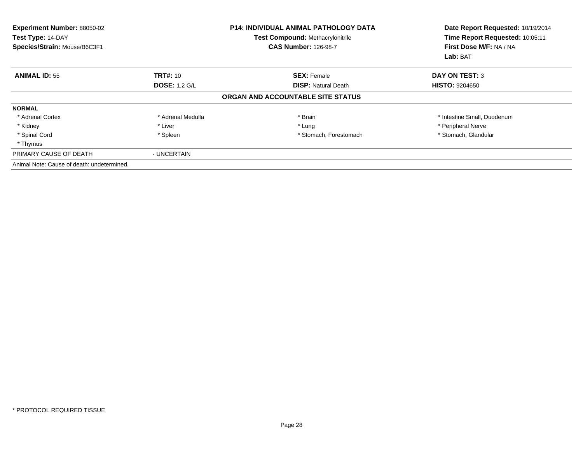| Experiment Number: 88050-02<br>Test Type: 14-DAY<br>Species/Strain: Mouse/B6C3F1 |                      | <b>P14: INDIVIDUAL ANIMAL PATHOLOGY DATA</b><br><b>Test Compound: Methacrylonitrile</b><br><b>CAS Number: 126-98-7</b> | Date Report Requested: 10/19/2014<br>Time Report Requested: 10:05:11<br>First Dose M/F: NA / NA<br>Lab: BAT |
|----------------------------------------------------------------------------------|----------------------|------------------------------------------------------------------------------------------------------------------------|-------------------------------------------------------------------------------------------------------------|
| <b>ANIMAL ID: 55</b>                                                             | <b>TRT#: 10</b>      | <b>SEX: Female</b>                                                                                                     | <b>DAY ON TEST: 3</b>                                                                                       |
|                                                                                  | <b>DOSE: 1.2 G/L</b> | <b>DISP:</b> Natural Death                                                                                             | <b>HISTO: 9204650</b>                                                                                       |
|                                                                                  |                      | ORGAN AND ACCOUNTABLE SITE STATUS                                                                                      |                                                                                                             |
| <b>NORMAL</b>                                                                    |                      |                                                                                                                        |                                                                                                             |
| * Adrenal Cortex                                                                 | * Adrenal Medulla    | * Brain                                                                                                                | * Intestine Small, Duodenum                                                                                 |
| * Kidney                                                                         | * Liver              | * Lung                                                                                                                 | * Peripheral Nerve                                                                                          |
| * Spinal Cord                                                                    | * Spleen             | * Stomach, Forestomach                                                                                                 | * Stomach, Glandular                                                                                        |
| * Thymus                                                                         |                      |                                                                                                                        |                                                                                                             |
| PRIMARY CAUSE OF DEATH                                                           | - UNCERTAIN          |                                                                                                                        |                                                                                                             |
| Animal Note: Cause of death: undetermined.                                       |                      |                                                                                                                        |                                                                                                             |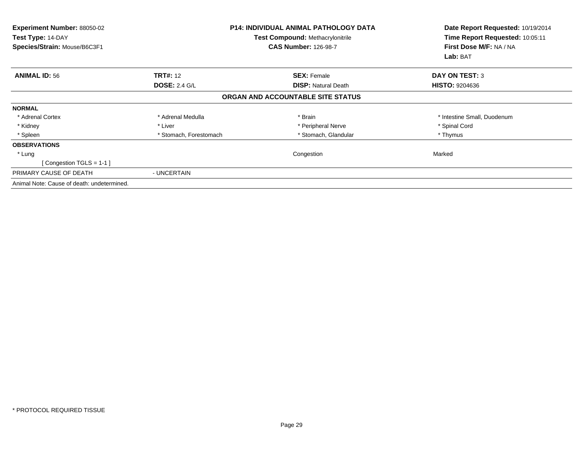| <b>Experiment Number: 88050-02</b><br>Test Type: 14-DAY<br>Species/Strain: Mouse/B6C3F1 |                        | <b>P14: INDIVIDUAL ANIMAL PATHOLOGY DATA</b><br><b>Test Compound: Methacrylonitrile</b><br><b>CAS Number: 126-98-7</b> | Date Report Requested: 10/19/2014<br>Time Report Requested: 10:05:11<br>First Dose M/F: NA / NA<br>Lab: BAT |
|-----------------------------------------------------------------------------------------|------------------------|------------------------------------------------------------------------------------------------------------------------|-------------------------------------------------------------------------------------------------------------|
| <b>ANIMAL ID: 56</b>                                                                    | <b>TRT#: 12</b>        | <b>SEX: Female</b>                                                                                                     | <b>DAY ON TEST: 3</b>                                                                                       |
|                                                                                         | <b>DOSE: 2.4 G/L</b>   | <b>DISP:</b> Natural Death                                                                                             | <b>HISTO: 9204636</b>                                                                                       |
|                                                                                         |                        | ORGAN AND ACCOUNTABLE SITE STATUS                                                                                      |                                                                                                             |
| <b>NORMAL</b>                                                                           |                        |                                                                                                                        |                                                                                                             |
| * Adrenal Cortex                                                                        | * Adrenal Medulla      | * Brain                                                                                                                | * Intestine Small, Duodenum                                                                                 |
| * Kidney                                                                                | * Liver                | * Peripheral Nerve                                                                                                     | * Spinal Cord                                                                                               |
| * Spleen                                                                                | * Stomach, Forestomach | * Stomach, Glandular                                                                                                   | * Thymus                                                                                                    |
| <b>OBSERVATIONS</b>                                                                     |                        |                                                                                                                        |                                                                                                             |
| * Lung                                                                                  |                        | Congestion                                                                                                             | Marked                                                                                                      |
| [Congestion TGLS = 1-1]                                                                 |                        |                                                                                                                        |                                                                                                             |
| PRIMARY CAUSE OF DEATH                                                                  | - UNCERTAIN            |                                                                                                                        |                                                                                                             |
| Animal Note: Cause of death: undetermined.                                              |                        |                                                                                                                        |                                                                                                             |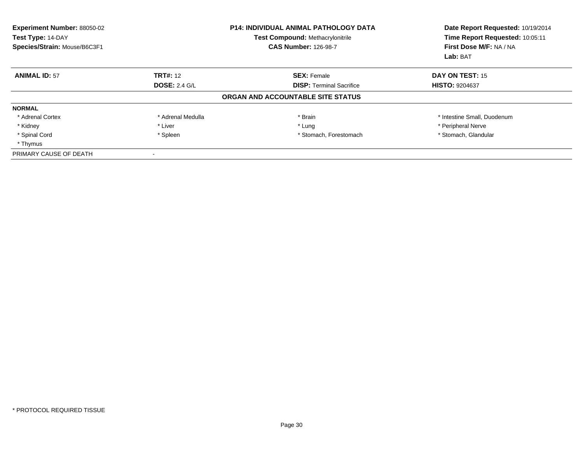| <b>Experiment Number: 88050-02</b><br>Test Type: 14-DAY<br>Species/Strain: Mouse/B6C3F1 |                      | <b>P14: INDIVIDUAL ANIMAL PATHOLOGY DATA</b><br><b>Test Compound: Methacrylonitrile</b><br><b>CAS Number: 126-98-7</b> | Date Report Requested: 10/19/2014<br>Time Report Requested: 10:05:11<br>First Dose M/F: NA / NA<br>Lab: BAT |
|-----------------------------------------------------------------------------------------|----------------------|------------------------------------------------------------------------------------------------------------------------|-------------------------------------------------------------------------------------------------------------|
| <b>ANIMAL ID: 57</b>                                                                    | <b>TRT#: 12</b>      | <b>SEX: Female</b>                                                                                                     | <b>DAY ON TEST: 15</b>                                                                                      |
|                                                                                         | <b>DOSE: 2.4 G/L</b> | <b>DISP: Terminal Sacrifice</b>                                                                                        | <b>HISTO: 9204637</b>                                                                                       |
|                                                                                         |                      | ORGAN AND ACCOUNTABLE SITE STATUS                                                                                      |                                                                                                             |
| <b>NORMAL</b>                                                                           |                      |                                                                                                                        |                                                                                                             |
| * Adrenal Cortex                                                                        | * Adrenal Medulla    | * Brain                                                                                                                | * Intestine Small, Duodenum                                                                                 |
| * Kidney                                                                                | * Liver              | * Lung                                                                                                                 | * Peripheral Nerve                                                                                          |
| * Spinal Cord                                                                           | * Spleen             | * Stomach, Forestomach                                                                                                 | * Stomach, Glandular                                                                                        |
| * Thymus                                                                                |                      |                                                                                                                        |                                                                                                             |
| PRIMARY CAUSE OF DEATH                                                                  |                      |                                                                                                                        |                                                                                                             |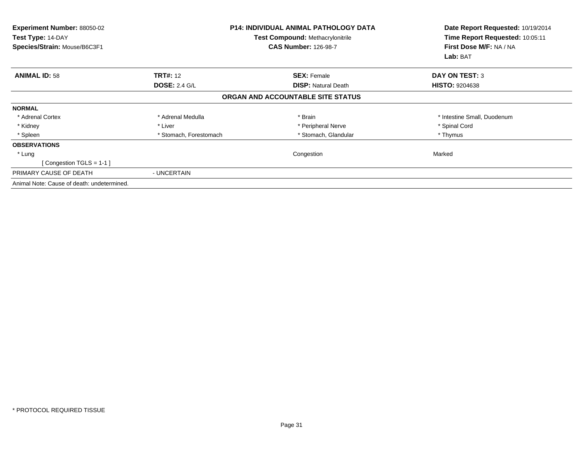| <b>Experiment Number: 88050-02</b><br>Test Type: 14-DAY<br>Species/Strain: Mouse/B6C3F1 |                        | <b>P14: INDIVIDUAL ANIMAL PATHOLOGY DATA</b><br><b>Test Compound: Methacrylonitrile</b><br><b>CAS Number: 126-98-7</b> | Date Report Requested: 10/19/2014<br>Time Report Requested: 10:05:11<br>First Dose M/F: NA / NA<br>Lab: BAT |
|-----------------------------------------------------------------------------------------|------------------------|------------------------------------------------------------------------------------------------------------------------|-------------------------------------------------------------------------------------------------------------|
| <b>ANIMAL ID: 58</b>                                                                    | <b>TRT#: 12</b>        | <b>SEX: Female</b>                                                                                                     | <b>DAY ON TEST: 3</b>                                                                                       |
|                                                                                         | <b>DOSE: 2.4 G/L</b>   | <b>DISP:</b> Natural Death                                                                                             | <b>HISTO: 9204638</b>                                                                                       |
|                                                                                         |                        | ORGAN AND ACCOUNTABLE SITE STATUS                                                                                      |                                                                                                             |
| <b>NORMAL</b>                                                                           |                        |                                                                                                                        |                                                                                                             |
| * Adrenal Cortex                                                                        | * Adrenal Medulla      | * Brain                                                                                                                | * Intestine Small, Duodenum                                                                                 |
| * Kidney                                                                                | * Liver                | * Peripheral Nerve                                                                                                     | * Spinal Cord                                                                                               |
| * Spleen                                                                                | * Stomach, Forestomach | * Stomach, Glandular                                                                                                   | * Thymus                                                                                                    |
| <b>OBSERVATIONS</b>                                                                     |                        |                                                                                                                        |                                                                                                             |
| * Lung                                                                                  |                        | Congestion                                                                                                             | Marked                                                                                                      |
| [Congestion TGLS = 1-1]                                                                 |                        |                                                                                                                        |                                                                                                             |
| PRIMARY CAUSE OF DEATH                                                                  | - UNCERTAIN            |                                                                                                                        |                                                                                                             |
| Animal Note: Cause of death: undetermined.                                              |                        |                                                                                                                        |                                                                                                             |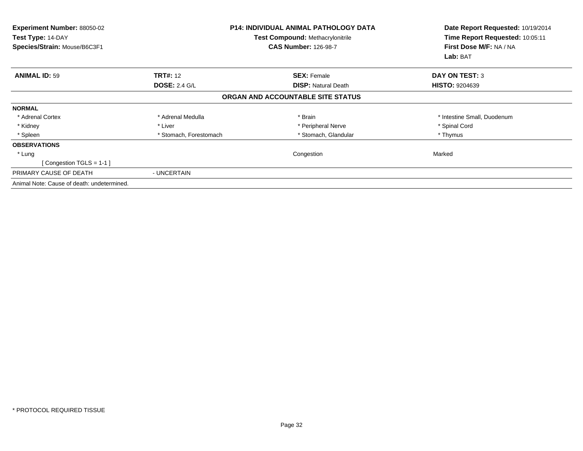| <b>Experiment Number: 88050-02</b><br>Test Type: 14-DAY<br>Species/Strain: Mouse/B6C3F1 |                        | <b>P14: INDIVIDUAL ANIMAL PATHOLOGY DATA</b><br><b>Test Compound: Methacrylonitrile</b><br><b>CAS Number: 126-98-7</b> | Date Report Requested: 10/19/2014<br>Time Report Requested: 10:05:11<br>First Dose M/F: NA / NA<br>Lab: BAT |
|-----------------------------------------------------------------------------------------|------------------------|------------------------------------------------------------------------------------------------------------------------|-------------------------------------------------------------------------------------------------------------|
| <b>ANIMAL ID: 59</b>                                                                    | <b>TRT#: 12</b>        | <b>SEX: Female</b>                                                                                                     | <b>DAY ON TEST: 3</b>                                                                                       |
|                                                                                         | <b>DOSE: 2.4 G/L</b>   | <b>DISP:</b> Natural Death                                                                                             | <b>HISTO: 9204639</b>                                                                                       |
|                                                                                         |                        | ORGAN AND ACCOUNTABLE SITE STATUS                                                                                      |                                                                                                             |
| <b>NORMAL</b>                                                                           |                        |                                                                                                                        |                                                                                                             |
| * Adrenal Cortex                                                                        | * Adrenal Medulla      | * Brain                                                                                                                | * Intestine Small, Duodenum                                                                                 |
| * Kidney                                                                                | * Liver                | * Peripheral Nerve                                                                                                     | * Spinal Cord                                                                                               |
| * Spleen                                                                                | * Stomach, Forestomach | * Stomach, Glandular                                                                                                   | * Thymus                                                                                                    |
| <b>OBSERVATIONS</b>                                                                     |                        |                                                                                                                        |                                                                                                             |
| * Lung                                                                                  |                        | Congestion                                                                                                             | Marked                                                                                                      |
| [Congestion TGLS = 1-1]                                                                 |                        |                                                                                                                        |                                                                                                             |
| PRIMARY CAUSE OF DEATH                                                                  | - UNCERTAIN            |                                                                                                                        |                                                                                                             |
| Animal Note: Cause of death: undetermined.                                              |                        |                                                                                                                        |                                                                                                             |